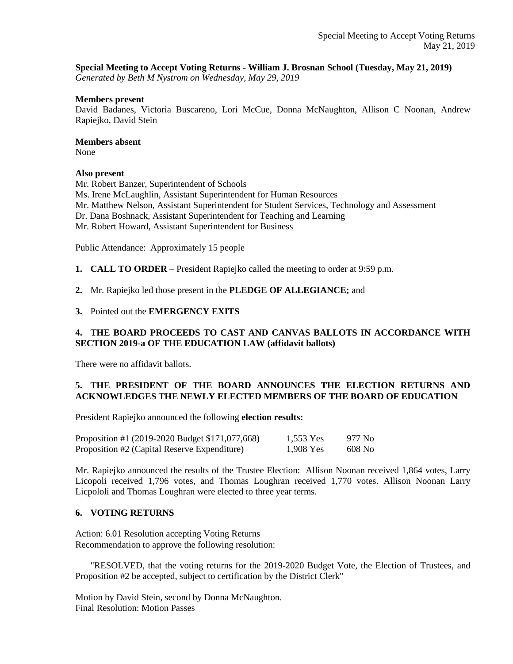### **Special Meeting to Accept Voting Returns - William J. Brosnan School (Tuesday, May 21, 2019)**

*Generated by Beth M Nystrom on Wednesday, May 29, 2019*

#### **Members present**

David Badanes, Victoria Buscareno, Lori McCue, Donna McNaughton, Allison C Noonan, Andrew Rapiejko, David Stein

#### **Members absent**

None

### **Also present**

Mr. Robert Banzer, Superintendent of Schools

Ms. Irene McLaughlin, Assistant Superintendent for Human Resources

- Mr. Matthew Nelson, Assistant Superintendent for Student Services, Technology and Assessment
- Dr. Dana Boshnack, Assistant Superintendent for Teaching and Learning
- Mr. Robert Howard, Assistant Superintendent for Business

Public Attendance: Approximately 15 people

**1. CALL TO ORDER** – President Rapiejko called the meeting to order at 9:59 p.m.

**2.** Mr. Rapiejko led those present in the **PLEDGE OF ALLEGIANCE;** and

**3.** Pointed out the **EMERGENCY EXITS** 

## **4. THE BOARD PROCEEDS TO CAST AND CANVAS BALLOTS IN ACCORDANCE WITH SECTION 2019-a OF THE EDUCATION LAW (affidavit ballots)**

There were no affidavit ballots.

# **5. THE PRESIDENT OF THE BOARD ANNOUNCES THE ELECTION RETURNS AND ACKNOWLEDGES THE NEWLY ELECTED MEMBERS OF THE BOARD OF EDUCATION**

President Rapiejko announced the following **election results:**

| Proposition #1 (2019-2020 Budget \$171,077,668) | 1,553 Yes | 977 No |
|-------------------------------------------------|-----------|--------|
| Proposition #2 (Capital Reserve Expenditure)    | 1,908 Yes | 608 No |

Mr. Rapiejko announced the results of the Trustee Election: Allison Noonan received 1,864 votes, Larry Licopoli received 1,796 votes, and Thomas Loughran received 1,770 votes. Allison Noonan Larry Licpololi and Thomas Loughran were elected to three year terms.

## **6. VOTING RETURNS**

Action: 6.01 Resolution accepting Voting Returns Recommendation to approve the following resolution:

 "RESOLVED, that the voting returns for the 2019-2020 Budget Vote, the Election of Trustees, and Proposition #2 be accepted, subject to certification by the District Clerk"

Motion by David Stein, second by Donna McNaughton. Final Resolution: Motion Passes